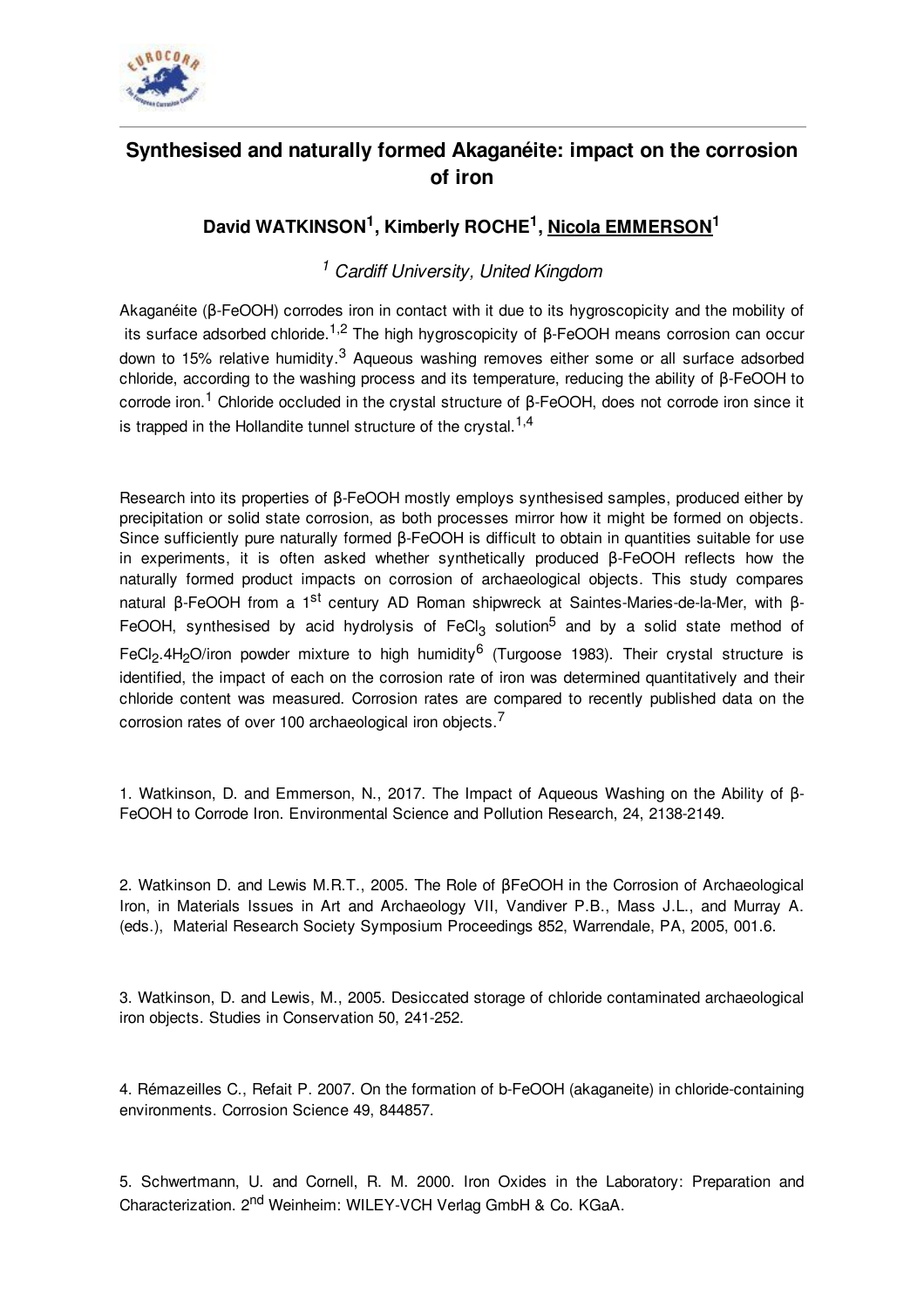

## **Synthesised and naturally formed Akaganéite: impact on the corrosion of iron**

## **David WATKINSON 1 , Kimberly ROCHE 1 , Nicola EMMERSON 1**

## *<sup>1</sup> Cardiff University, United Kingdom*

Akaganéite (β-FeOOH) corrodes iron in contact with it due to its hygroscopicity and the mobility of its surface adsorbed chloride.<sup>1,2</sup> The high hygroscopicity of β-FeOOH means corrosion can occur down to 15% relative humidity.<sup>3</sup> Aqueous washing removes either some or all surface adsorbed chloride, according to the washing process and its temperature, reducing the ability of β-FeOOH to corrode iron.<sup>1</sup> Chloride occluded in the crystal structure of β-FeOOH, does not corrode iron since it is trapped in the Hollandite tunnel structure of the crystal.<sup>1,4</sup>

Research into its properties of β-FeOOH mostly employs synthesised samples, produced either by precipitation or solid state corrosion, as both processes mirror how it might be formed on objects. Since sufficiently pure naturally formed β-FeOOH is difficult to obtain in quantities suitable for use in experiments, it is often asked whether synthetically produced β-FeOOH reflects how the naturally formed product impacts on corrosion of archaeological objects. This study compares natural β-FeOOH from a 1<sup>st</sup> century AD Roman shipwreck at Saintes-Maries-de-la-Mer, with β-FeOOH, synthesised by acid hydrolysis of FeCl<sub>3</sub> solution<sup>5</sup> and by a solid state method of FeCl<sub>2</sub>.4H<sub>2</sub>O/iron powder mixture to high humidity<sup>6</sup> (Turgoose 1983). Their crystal structure is identified, the impact of each on the corrosion rate of iron was determined quantitatively and their chloride content was measured. Corrosion rates are compared to recently published data on the corrosion rates of over 100 archaeological iron objects.<sup>7</sup>

1. Watkinson, D. and Emmerson, N., 2017. The Impact of Aqueous Washing on the Ability of β-FeOOH to Corrode Iron. Environmental Science and Pollution Research, 24, 2138-2149.

2. Watkinson D. and Lewis M.R.T., 2005. The Role of βFeOOH in the Corrosion of Archaeological Iron, in Materials Issues in Art and Archaeology VII, Vandiver P.B., Mass J.L., and Murray A. (eds.), Material Research Society Symposium Proceedings 852, Warrendale, PA, 2005, 001.6.

3. Watkinson, D. and Lewis, M., 2005. Desiccated storage of chloride contaminated archaeological iron objects. Studies in Conservation 50, 241-252.

4. Rémazeilles C., Refait P. 2007. On the formation of b-FeOOH (akaganeite) in chloride-containing environments. Corrosion Science 49, 844857.

5. Schwertmann, U. and Cornell, R. M. 2000. Iron Oxides in the Laboratory: Preparation and Characterization. 2<sup>nd</sup> Weinheim: WILEY-VCH Verlag GmbH & Co. KGaA.